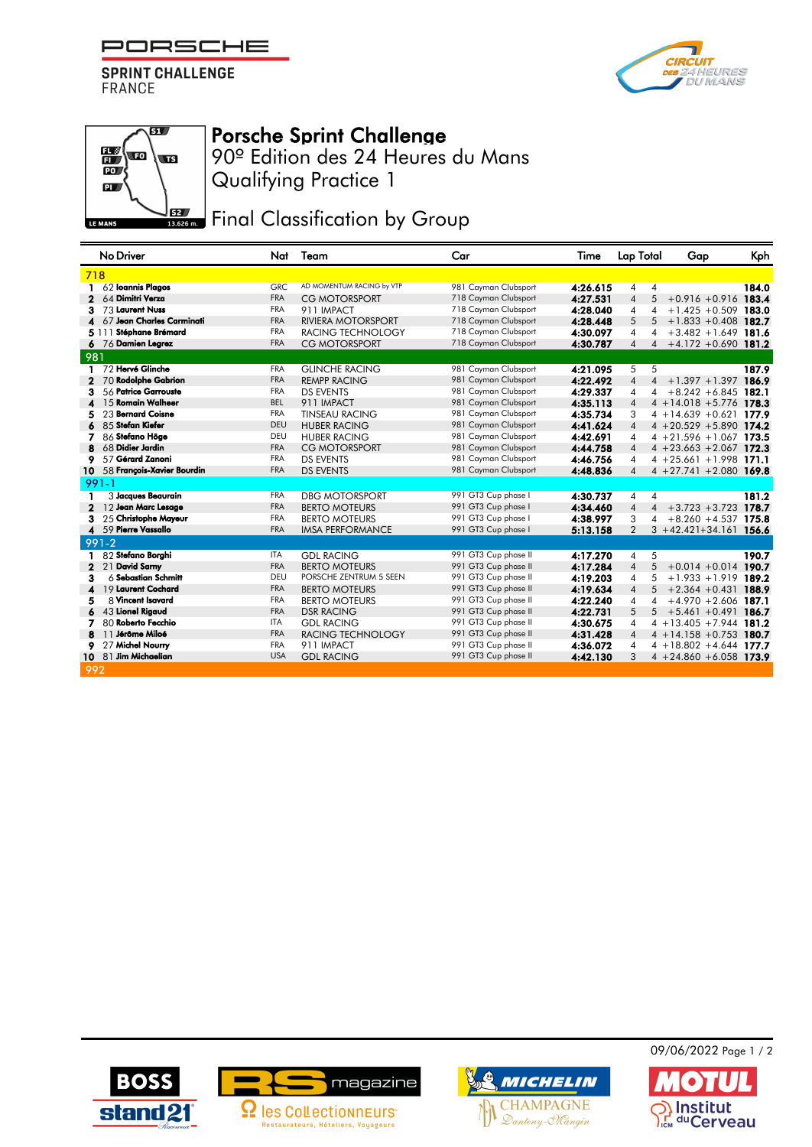PORSCHE

**SPRINT CHALLENGE FRANCE** 





## Porsche Sprint Challenge

Qualifying Practice 1 90º Edition des 24 Heures du Mans

**JEZ** Final Classification by Group

|              | No Driver                  | Nat        | Team                      | Car                  | Time     | <b>Lap Total</b>                 | Gap                         | Kph   |
|--------------|----------------------------|------------|---------------------------|----------------------|----------|----------------------------------|-----------------------------|-------|
| 718          |                            |            |                           |                      |          |                                  |                             |       |
|              | 62 Ioannis Plagos          | <b>GRC</b> | AD MOMENTUM RACING by VTP | 981 Cayman Clubsport | 4:26.615 | 4<br>4                           |                             | 184.0 |
| 2            | 64 Dimitri Verza           | <b>FRA</b> | <b>CG MOTORSPORT</b>      | 718 Cayman Clubsport | 4:27.531 | 5<br>$\overline{4}$              | $+0.916 + 0.916$            | 183.4 |
| з            | 73 Laurent Nuss            | <b>FRA</b> | 911 IMPACT                | 718 Cayman Clubsport | 4:28.040 | 4<br>4                           | $+1.425 +0.509$             | 183.0 |
|              | 67 Jean Charles Carminati  | <b>FRA</b> | <b>RIVIERA MOTORSPORT</b> | 718 Cayman Clubsport | 4:28.448 | 5<br>5                           | $+1.833 + 0.408$            | 182.7 |
|              | 5 111 Stéphane Brémard     | <b>FRA</b> | RACING TECHNOLOGY         | 718 Cayman Clubsport | 4:30.097 | 4<br>4                           | $+3.482 + 1.649$ 181.6      |       |
|              | 6 76 Damien Legrez         | <b>FRA</b> | <b>CG MOTORSPORT</b>      | 718 Cayman Clubsport | 4:30.787 | $\overline{\mathcal{A}}$<br>4    | $+4.172 +0.690$             | 181.2 |
| 981          |                            |            |                           |                      |          |                                  |                             |       |
|              | 1 72 Hervé Glinche         | <b>FRA</b> | <b>GLINCHE RACING</b>     | 981 Cayman Clubsport | 4:21.095 | 5<br>5                           |                             | 187.9 |
|              | 70 Rodolphe Gabrion        | <b>FRA</b> | <b>REMPP RACING</b>       | 981 Cayman Clubsport | 4:22.492 | $\overline{4}$<br>$\overline{4}$ | $+1.397 + 1.397$ 186.9      |       |
| з            | 56 Patrice Garrouste       | <b>FRA</b> | <b>DS EVENTS</b>          | 981 Cayman Clubsport | 4:29.337 | 4<br>4                           | $+8.242 + 6.845$ 182.1      |       |
|              | 15 Romain Walheer          | <b>BEL</b> | 911 IMPACT                | 981 Cayman Clubsport | 4:35.113 | $\overline{4}$                   | $4 + 14.018 + 5.776$ 178.3  |       |
|              | 23 Bernard Coisne          | <b>FRA</b> | <b>TINSEAU RACING</b>     | 981 Cayman Clubsport | 4:35.734 | 3                                | $4 + 14.639 + 0.621$ 177.9  |       |
|              | 85 Stefan Kiefer           | DEU        | <b>HUBER RACING</b>       | 981 Cayman Clubsport | 4:41.624 | $\overline{4}$                   | $4 + 20.529 + 5.890$ 174.2  |       |
|              | 86 Stefano Höge            | DEU        | <b>HUBER RACING</b>       | 981 Cayman Clubsport | 4:42.691 | $\overline{4}$                   | $4 + 21.596 + 1.067$ 173.5  |       |
|              | 68 Didier Jardin           | <b>FRA</b> | <b>CG MOTORSPORT</b>      | 981 Cayman Clubsport | 4:44.758 | $\overline{4}$                   | $4 + 23.663 + 2.067$ 172.3  |       |
| 9            | 57 Gérard Zanoni           | <b>FRA</b> | <b>DS EVENTS</b>          | 981 Cayman Clubsport | 4:46.756 | 4                                | $4 + 25.661 + 1.998$ 171.1  |       |
| 10           | 58 François-Xavier Bourdin | <b>FRA</b> | <b>DS EVENTS</b>          | 981 Cayman Clubsport | 4:48.836 | $\overline{4}$                   | $4 + 27.741 + 2.080$ 169.8  |       |
|              | $991 - 1$                  |            |                           |                      |          |                                  |                             |       |
| 1            | 3 Jacques Beaurain         | <b>FRA</b> | <b>DBG MOTORSPORT</b>     | 991 GT3 Cup phase I  | 4:30.737 | $\overline{4}$<br>$\overline{4}$ |                             | 181.2 |
| 2            | 12 Jean Marc Lesage        | <b>FRA</b> | <b>BERTO MOTEURS</b>      | 991 GT3 Cup phase I  | 4:34.460 | $\overline{4}$<br>$\overline{4}$ | $+3.723 +3.723$             | 178.7 |
| з            | 25 Christophe Mayeur       | <b>FRA</b> | <b>BERTO MOTEURS</b>      | 991 GT3 Cup phase I  | 4:38.997 | 3<br>4                           | $+8.260 + 4.537$ 175.8      |       |
| 4            | 59 Pierre Vassallo         | <b>FRA</b> | <b>IMSA PERFORMANCE</b>   | 991 GT3 Cup phase I  | 5:13.158 | $\overline{2}$                   | $3 + 42.421 + 34.161$ 156.6 |       |
|              | $991 - 2$                  |            |                           |                      |          |                                  |                             |       |
|              | 82 Stefano Borghi          | <b>ITA</b> | <b>GDL RACING</b>         | 991 GT3 Cup phase II | 4:17.270 | 5<br>4                           |                             | 190.7 |
| $\mathbf{2}$ | <b>David Samy</b><br>21    | <b>FRA</b> | <b>BERTO MOTEURS</b>      | 991 GT3 Cup phase II | 4:17.284 | 5<br>$\overline{4}$              | $+0.014 + 0.014$ 190.7      |       |
| з            | $6$ Sebastian Schmitt      | DEU        | PORSCHE ZENTRUM 5 SEEN    | 991 GT3 Cup phase II | 4:19.203 | 5<br>4                           | $+1.933 + 1.919$            | 189.2 |
| 4            | 19 Laurent Cochard         | <b>FRA</b> | <b>BERTO MOTEURS</b>      | 991 GT3 Cup phase II | 4:19.634 | 5<br>$\overline{4}$              | $+2.364 +0.431$             | 188.9 |
| 5            | 8 Vincent Isavard          | <b>FRA</b> | <b>BERTO MOTEURS</b>      | 991 GT3 Cup phase II | 4:22.240 | 4<br>4                           | $+4.970 + 2.606$            | 187.1 |
| 6            | 43 Lionel Rigaud           | <b>FRA</b> | <b>DSR RACING</b>         | 991 GT3 Cup phase II | 4:22.731 | 5<br>5                           | $+5.461 + 0.491$            | 186.7 |
| 7            | 80 Roberto Fecchio         | <b>ITA</b> | <b>GDL RACING</b>         | 991 GT3 Cup phase II | 4:30.675 | $\overline{4}$                   | $4 + 13.405 + 7.944$ 181.2  |       |
| 8            | 11 Jérôme Miloé            | <b>FRA</b> | <b>RACING TECHNOLOGY</b>  | 991 GT3 Cup phase II | 4:31.428 | $\overline{4}$                   | $4 + 14.158 + 0.753$        | 180.7 |
| 9            | 27 Michel Nourry           | <b>FRA</b> | 911 IMPACT                | 991 GT3 Cup phase II | 4:36.072 | 4                                | $4 + 18.802 + 4.644$ 177.7  |       |
|              | 10 81 Jim Michaelian       | <b>USA</b> | <b>GDL RACING</b>         | 991 GT3 Cup phase II | 4:42.130 | 3                                | $4 + 24.860 + 6.058$ 173.9  |       |
| 992          |                            |            |                           |                      |          |                                  |                             |       |